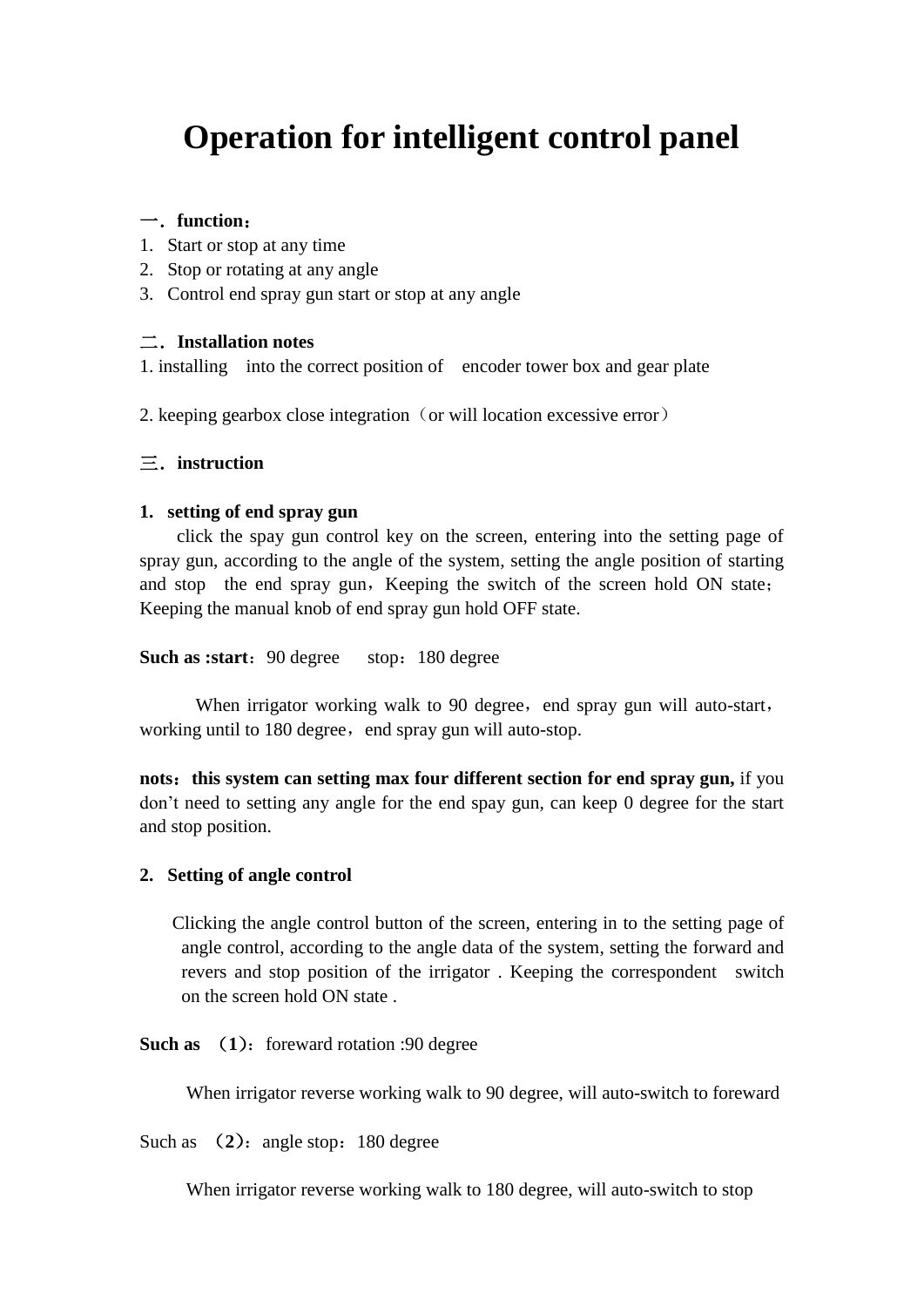# **Operation for intelligent control panel**

# 一.**function**:

- 1. Start or stop at any time
- 2. Stop or rotating at any angle
- 3. Control end spray gun start or stop at any angle

### 二.**Installation notes**

1. installing into the correct position of encoder tower box and gear plate

2. keeping gearbox close integration (or will location excessive error)

# 三.**instruction**

### **1. setting of end spray gun**

click the spay gun control key on the screen, entering into the setting page of spray gun, according to the angle of the system, setting the angle position of starting and stop the end spray gun, Keeping the switch of the screen hold ON state; Keeping the manual knob of end spray gun hold OFF state.

**Such as :start:** 90 degree stop: 180 degree

When irrigator working walk to 90 degree, end spray gun will auto-start, working until to 180 degree, end spray gun will auto-stop.

**nots**:**this system can setting max four different section for end spray gun,** if you don't need to setting any angle for the end spay gun, can keep 0 degree for the start and stop position.

### **2. Setting of angle control**

Clicking the angle control button of the screen, entering in to the setting page of angle control, according to the angle data of the system, setting the forward and revers and stop position of the irrigator . Keeping the correspondent switch on the screen hold ON state .

**Such as** (1): foreward rotation :90 degree

When irrigator reverse working walk to 90 degree, will auto-switch to foreward

Such as (2): angle stop: 180 degree

When irrigator reverse working walk to 180 degree, will auto-switch to stop